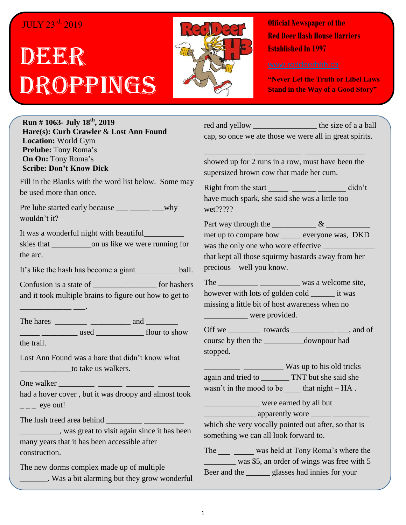# JULY 23rd, 2019

# DEER Droppings



**Official Newspaper of the Red Deer Hash House Harriers Established In 1997** 

**"Never Let the Truth or Libel Laws Stand in the Way of a Good Story"**

**Run # 1063- July 18 th, 2019 Hare(s): Curb Crawler** & **Lost Ann Found Location:** World Gym **Prelube:** Tony Roma's **On On:** Tony Roma's **Scribe: Don't Know Dick**

Fill in the Blanks with the word list below. Some may be used more than once.

Pre lube started early because \_\_\_ \_\_\_\_\_ \_\_why wouldn't it?

It was a wonderful night with beautiful

skies that \_\_\_\_\_\_\_\_\_\_on us like we were running for the arc.

It's like the hash has become a giant ball.

Confusion is a state of \_\_\_\_\_\_\_\_\_\_\_\_\_\_\_\_ for hashers and it took multiple brains to figure out how to get to

\_\_\_\_\_\_\_\_\_\_\_\_\_ \_\_\_.

The hares \_\_\_\_\_\_\_\_ \_\_\_\_\_\_\_\_\_\_ and \_\_\_\_\_\_\_\_ \_\_\_\_\_ \_\_\_\_\_\_\_\_\_ used \_\_\_\_\_\_\_\_\_\_\_\_ flour to show

the trail.

Lost Ann Found was a hare that didn't know what \_\_\_\_\_\_\_\_\_\_\_\_\_to take us walkers.

One walker \_\_\_\_\_\_\_\_\_ \_\_\_\_\_\_ \_\_\_\_\_\_\_ \_\_\_\_\_\_\_\_

had a hover cover , but it was droopy and almost took  $\frac{1}{2}$  eye out!

The lush treed area behind

\_\_\_\_\_\_\_\_\_\_, was great to visit again since it has been many years that it has been accessible after construction.

The new dorms complex made up of multiple \_\_\_\_\_\_\_. Was a bit alarming but they grow wonderful red and yellow the size of a a ball cap, so once we ate those we were all in great spirits.

showed up for 2 runs in a row, must have been the supersized brown cow that made her cum.

\_\_\_\_\_\_\_\_\_\_\_\_ \_\_\_\_\_\_\_\_\_\_\_\_ \_\_\_\_\_\_\_\_\_\_\_\_\_\_\_

Right from the start didn't have much spark, she said she was a little too wet?????

Part way through the  $\frac{\& \quad}{\& \quad}$ met up to compare how \_\_\_\_\_ everyone was, DKD was the only one who wore effective that kept all those squirmy bastards away from her precious – well you know.

The \_\_\_\_\_\_\_\_\_\_ \_\_\_\_\_\_\_\_\_\_ was a welcome site, however with lots of golden cold \_\_\_\_\_\_ it was missing a little bit of host awareness when no \_\_\_\_\_\_\_\_\_\_\_ were provided.

Off we \_\_\_\_\_\_\_\_\_\_ towards \_\_\_\_\_\_\_\_\_\_\_\_\_\_\_\_\_\_, and of course by then the \_\_\_\_\_\_\_\_\_\_downpour had stopped.

\_\_\_\_\_\_\_\_\_ \_\_\_\_\_\_\_\_\_\_ Was up to his old tricks again and tried to TNT but she said she wasn't in the mood to be  $\qquad$  that night – HA.

\_\_\_\_\_\_\_\_\_\_\_\_\_\_ were earned by all but

\_\_\_\_\_\_\_\_\_\_\_\_\_ apparently wore \_\_\_\_\_ \_\_\_\_\_\_\_\_\_

which she very vocally pointed out after, so that is something we can all look forward to.

The \_\_\_ \_\_\_\_ was held at Tony Roma's where the was \$5, an order of wings was free with 5 Beer and the \_\_\_\_\_\_ glasses had innies for your